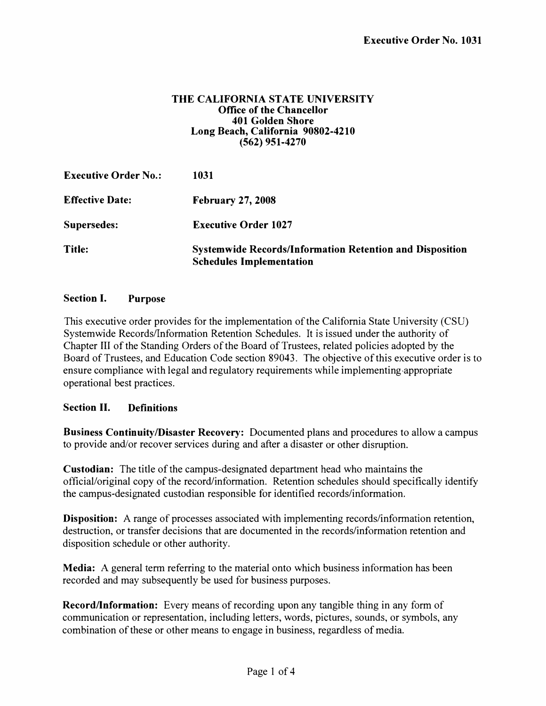#### **THE CALIFORNIA STATE UNIVERSITY Office of the Chancellor 401 Golden Shore Long Beach, California 90802-4210 (562) 951-4270**

| <b>Executive Order No.:</b> | 1031                                                                                               |
|-----------------------------|----------------------------------------------------------------------------------------------------|
| <b>Effective Date:</b>      | <b>February 27, 2008</b>                                                                           |
| Supersedes:                 | <b>Executive Order 1027</b>                                                                        |
| Title:                      | <b>Systemwide Records/Information Retention and Disposition</b><br><b>Schedules Implementation</b> |

# **Section I. Purpose**

This executive order provides for the implementation of the California State University (CSU) Systemwide Records/Information Retention Schedules. It is issued under the authority of Chapter III of the Standing Orders of the Board of Trustees, related policies adopted by the Board of Trustees, and Education Code section 89043. The objective of this executive order is to ensure compliance with legal and regulatory requirements while implementing,appropriate operational best practices.

### **Section II. Definitions**

**Business Continuity/Disaster Recovery:** Documented plans and procedures to allow a campus to provide and/or recover services during and after a disaster or other disruption.

**Custodian:** The title of the campus-designated department head who maintains the official/original copy of the record/information. Retention schedules should specifically identify the campus-designated custodian responsible for identified records/information.

**Disposition:** A range of processes associated with implementing records/information retention, destruction, or transfer decisions that are documented in the records/information retention and disposition schedule or other authority.

**Media:** A general term referring to the material onto which business information has been recorded and may subsequently be used for business purposes.

**Record/Information:** Every means of recording upon any tangible thing in any form of communication or representation, including letters, words, pictures, sounds, or symbols, any combination of these or other means to engage in business, regardless of media.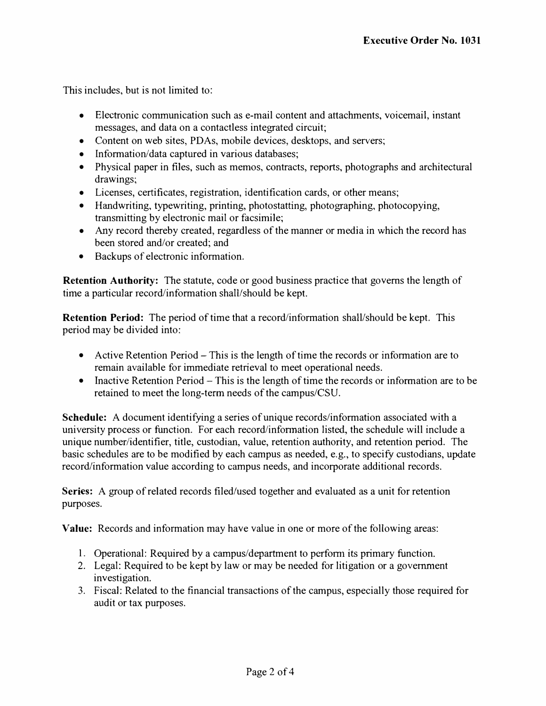This includes, but is not limited to:

- Electronic communication such as e-mail content and attachments, voicemail, instant messages, and data on a contactless integrated circuit;
- Content on web sites, PDAs, mobile devices, desktops, and servers;
- Information/data captured in various databases;
- Physical paper in files, such as memos, contracts, reports, photographs and architectural drawings;
- Licenses, certificates, registration, identification cards, or other means;
- Handwriting, typewriting, printing, photostatting, photographing, photocopying, transmitting by electronic mail or facsimile;
- Any record thereby created, regardless of the manner or media in which the record has been stored and/or created; and
- Backups of electronic information.

**Retention Authority:** The statute, code or good business practice that governs the length of time a particular record/information shall/should be kept.

**Retention Period:** The period of time that a record/information shall/should be kept. This period may be divided into:

- Active Retention Period  $-$  This is the length of time the records or information are to remain available for immediate retrieval to meet operational needs.
- Inactive Retention Period This is the length of time the records or information are to be retained to meet the long-term needs of the campus/CSU.

**Schedule:** A document identifying a series of unique records/information associated with a university process or function. For each record/information listed, the schedule will include a unique number/identifier, title, custodian, value, retention authority, and retention period. The basic schedules are to be modified by each campus as needed, e.g., to specify custodians, update record/information value according to campus needs, and incorporate additional records.

**Series:** A group of related records filed/used together and evaluated as a unit for retention purposes.

**Value:** Records and information may have value in one or more of the following areas:

- I. Operational: Required by a campus/department to perform its primary function.
- 2. Legal: Required to be kept by law or may be needed for litigation or a government investigation.
- 3. Fiscal: Related to the financial transactions of the campus, especially those required for audit or tax purposes.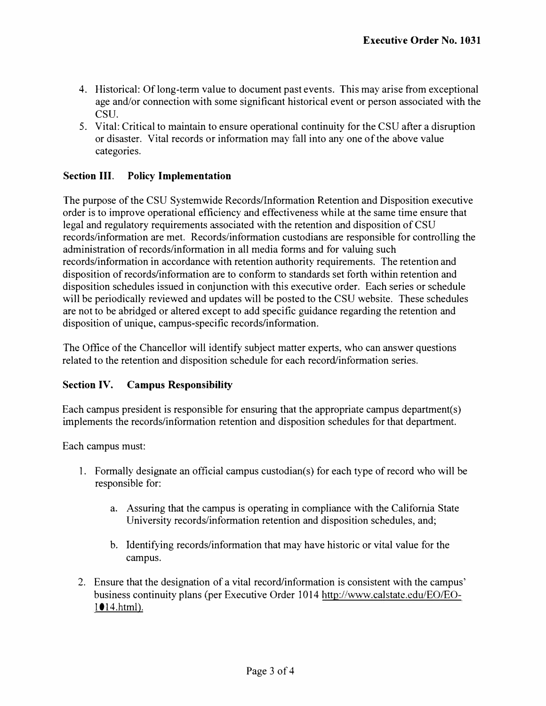- 4. Historical: Of long-term value to document past events. This may arise from exceptional age and/or connection with some significant historical event or person associated with the CSU.
- 5. Vital: Critical to maintain to ensure operational continuity for the CSU after a disruption or disaster. Vital records or information may fall into any one of the above value categories.

# **Section III. Policy Implementation**

The purpose of the CSU Systemwide Records/Information Retention and Disposition executive order is to improve operational efficiency and effectiveness while at the same time ensure that legal and regulatory requirements associated with the retention and disposition of CSU records/information are met. Records/information custodians are responsible for controlling the administration of records/information in all media forms and for valuing such records/information in accordance with retention authority requirements. The retention and disposition of records/information are to conform to standards set forth within retention and disposition schedules issued in conjunction with this executive order. Each series or schedule will be periodically reviewed and updates will be posted to the CSU website. These schedules are not to be abridged or altered except to add specific guidance regarding the retention and disposition of unique, campus-specific records/information.

The Office of the Chancellor will identify subject matter experts, who can answer questions related to the retention and disposition schedule for each record/information series.

### **Section IV. Campus Responsibility**

Each campus president is responsible for ensuring that the appropriate campus department(s) implements the records/information retention and disposition schedules for that department.

Each campus must:

- I. Formally designate an official campus custodian(s) for each type of record who will be responsible for:
	- a. Assuring that the campus is operating in compliance with the California State University records/information retention and disposition schedules, and;
	- b. Identifying records/information that may have historic or vital value for the campus.
- 2. Ensure that the designation of a vital record/information is consistent with the campus' business continuity plans (per Executive Order 1014 http://www.calstate.edu/EO/EO-1014.html).